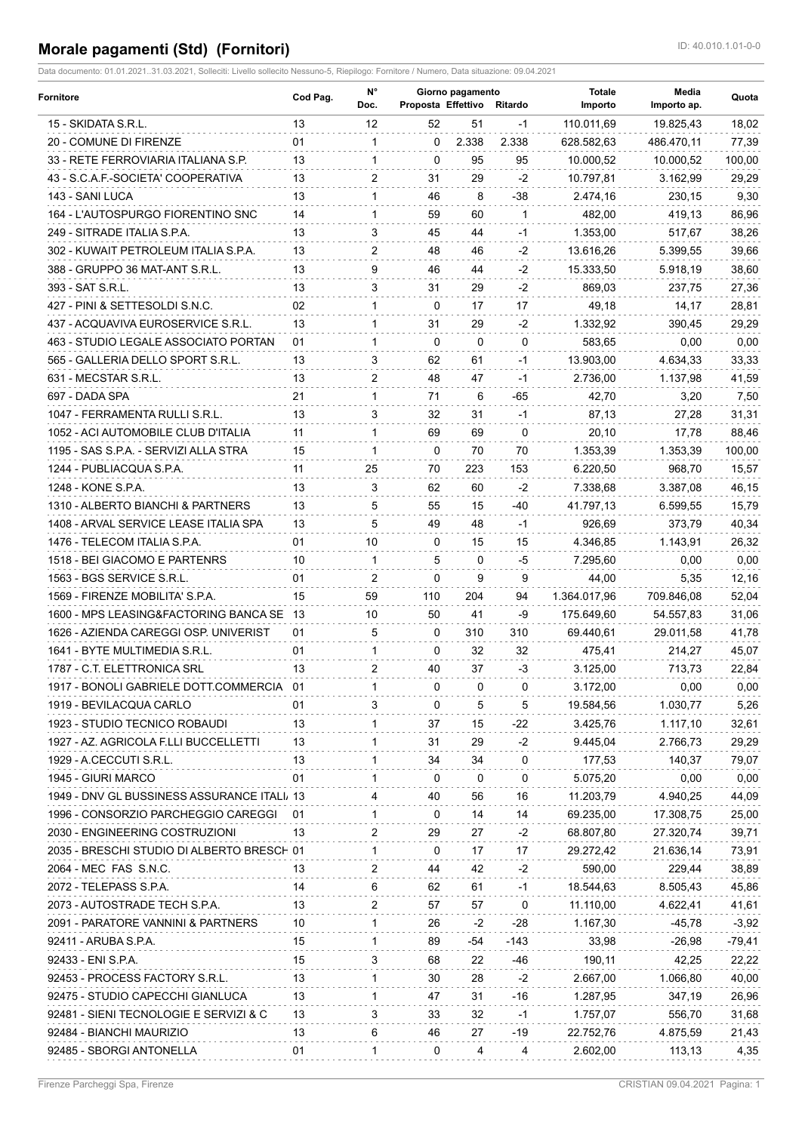## **Morale pagamenti (Std) (Fornitori) ID: 40.010.1.01-0-0**

Data documento: 01.01.2021..31.03.2021, Solleciti: Livello sollecito Nessuno-5, Riepilogo: Fornitore / Numero, Data situazione: 09.04.2021

| Fornitore                                   | Cod Pag. | N°<br>Doc.   | Giorno pagamento<br>Proposta Effettivo |              | Ritardo      | <b>Totale</b><br>Importo | Media<br>Importo ap. | Quota    |
|---------------------------------------------|----------|--------------|----------------------------------------|--------------|--------------|--------------------------|----------------------|----------|
| 15 - SKIDATA S.R.L.                         | 13       | 12           | 52                                     | 51           | -1           | 110.011,69               | 19.825,43            | 18,02    |
| 20 - COMUNE DI FIRENZE                      | 01       | $\mathbf 1$  | $\Omega$                               | 2.338        | 2.338        | 628.582,63               | 486.470,11           | 77,39    |
| 33 - RETE FERROVIARIA ITALIANA S.P.         | 13       | 1            | 0                                      | 95           | 95           | 10.000,52                | 10.000.52            | 100,00   |
| 43 - S.C.A.F.-SOCIETA' COOPERATIVA          | 13       | 2            | 31                                     | 29           | $-2$         | 10.797,81                | 3.162.99             | 29,29    |
| 143 - SANI LUCA                             | 13       | $\mathbf{1}$ | 46                                     | 8            | -38          | 2.474,16                 | 230,15               | 9,30     |
| 164 - L'AUTOSPURGO FIORENTINO SNC           | 14       | $\mathbf{1}$ | 59                                     | 60           | $\mathbf{1}$ | 482,00                   | 419,13               | 86,96    |
| 249 - SITRADE ITALIA S.P.A.                 | 13       | 3            | 45                                     | 44           | -1           | 1.353,00                 | 517,67               | 38,26    |
| 302 - KUWAIT PETROLEUM ITALIA S.P.A.        | 13       | 2            | 48                                     | 46           | -2           | 13.616,26                | 5.399,55             | 39,66    |
| 388 - GRUPPO 36 MAT-ANT S.R.L.              | 13       | 9            | 46                                     | 44           | $-2$         | 15.333,50                | 5.918,19             | 38,60    |
| 393 - SAT S.R.L.                            | 13       | 3            | 31                                     | 29           | $-2$         | 869,03                   | 237,75               | 27,36    |
| 427 - PINI & SETTESOLDI S.N.C.              | 02       | 1            | 0                                      | 17           | 17           | 49,18                    | 14,17                | 28,81    |
| 437 - ACQUAVIVA EUROSERVICE S.R.L.          | 13       | $\mathbf 1$  | 31                                     | 29           | -2           | 1.332,92                 | 390,45               | 29,29    |
| 463 - STUDIO LEGALE ASSOCIATO PORTAN        | 01       | 1            | 0                                      | $\mathbf{0}$ | $\Omega$     | 583,65                   | 0,00                 | 0,00     |
| 565 - GALLERIA DELLO SPORT S.R.L.           | 13       | 3            | 62                                     | 61           | $-1$         | 13.903,00                | 4.634,33             | 33,33    |
| 631 - MECSTAR S.R.L.                        | 13       | 2            | 48                                     | 47           | -1           | 2.736,00                 | 1.137,98             | 41,59    |
| 697 - DADA SPA                              | 21       | $\mathbf 1$  | 71                                     | 6            | -65          | 42,70                    | 3,20                 | 7,50     |
| 1047 - FERRAMENTA RULLI S.R.L.              | 13       | 3            | 32                                     | 31           | $-1$         | 87,13                    | 27,28                | 31,31    |
| 1052 - ACI AUTOMOBILE CLUB D'ITALIA         | 11       | $\mathbf{1}$ | 69                                     | 69           | $\mathbf{0}$ | 20,10                    | 17,78                | 88,46    |
| 1195 - SAS S.P.A. - SERVIZI ALLA STRA       | 15       | 1            | 0                                      | 70           | 70           | 1.353.39                 | 1.353,39             | 100,00   |
| 1244 - PUBLIACQUA S.P.A.                    | 11       | 25           | 70                                     | 223          | 153          | 6.220,50                 | 968,70               | 15,57    |
| 1248 - KONE S.P.A.                          | 13       | 3            | 62                                     | 60           | $-2$         | 7.338,68                 | 3.387,08             | 46,15    |
| 1310 - ALBERTO BIANCHI & PARTNERS           | 13       | 5            | 55                                     | 15           | -40          | 41.797,13                | 6.599,55             | 15,79    |
| 1408 - ARVAL SERVICE LEASE ITALIA SPA       | 13       | 5            | 49                                     | 48           | -1           | 926,69                   | 373,79               | 40,34    |
| 1476 - TELECOM ITALIA S.P.A.                | 01       | 10           | 0                                      | 15           | 15           | 4.346,85                 | 1.143,91             | 26,32    |
| 1518 - BEI GIACOMO E PARTENRS               | 10       | $\mathbf{1}$ | 5                                      | 0            | -5           | 7.295,60                 | 0,00                 | 0,00     |
| 1563 - BGS SERVICE S.R.L.                   | 01       | 2            | $\mathbf{0}$                           | 9            | 9            | 44,00                    | 5,35                 | 12,16    |
| 1569 - FIRENZE MOBILITA' S.P.A.             | 15       | 59           | 110                                    | 204          | 94           | 1.364.017,96             | 709.846,08           | 52,04    |
| 1600 - MPS LEASING&FACTORING BANCA SE 13    |          | 10           | 50                                     | 41           | -9           | 175.649,60               | 54.557,83            | 31,06    |
| 1626 - AZIENDA CAREGGI OSP. UNIVERIST       | 01       | 5            | 0                                      | 310          | 310          | 69.440,61                | 29.011,58            | 41,78    |
| 1641 - BYTE MULTIMEDIA S.R.L.               | 01       | $\mathbf{1}$ | $\mathbf{0}$                           | 32           | 32           | 475,41                   | 214,27               | 45,07    |
| 1787 - C.T. ELETTRONICA SRL                 | 13       | 2            | 40                                     | 37           | -3           | 3.125,00                 | 713,73               | 22,84    |
| 1917 - BONOLI GABRIELE DOTT.COMMERCIA 01    |          |              | 0                                      | 0            | 0            | 3.172,00                 | 0,00                 | 0,00     |
| 1919 - BEVILACQUA CARLO                     | 01       | 3            | 0                                      | 5            | 5            | 19.584,56                | 1.030,77             | 5,26     |
| 1923 - STUDIO TECNICO ROBAUDI               | 13       | $\mathbf 1$  | 37                                     | 15           | -22          | 3.425,76                 | 1.117,10             | 32,61    |
| 1927 - AZ. AGRICOLA F.LLI BUCCELLETTI       | 13       | 1            | 31                                     | 29           | -2           | 9.445,04                 | 2.766,73             | 29,29    |
| 1929 - A.CECCUTI S.R.L.                     | 13       | 1            | 34                                     | 34           | 0            | 177,53                   | 140,37               | 79,07    |
| 1945 - GIURI MARCO                          | 01       | $\mathbf 1$  | $\Omega$                               | 0            | 0            | 5.075,20                 | 0,00                 | 0,00     |
| 1949 - DNV GL BUSSINESS ASSURANCE ITALI, 13 |          | 4            | 40                                     | 56           | 16           | 11.203,79                | 4.940,25             | 44,09    |
| 1996 - CONSORZIO PARCHEGGIO CAREGGI         | -01      | 1            | 0                                      | 14           | 14           | 69.235,00                | 17.308,75            | 25,00    |
| 2030 - ENGINEERING COSTRUZIONI              | 13       | 2            | 29                                     | 27           | -2           | 68.807,80                | 27.320,74            | 39,71    |
| 2035 - BRESCHI STUDIO DI ALBERTO BRESCH 01  |          | $\mathbf{1}$ | 0                                      | 17           | 17           | 29.272,42                | 21.636.14            | 73,91    |
| 2064 - MEC FAS S.N.C.                       | 13       | 2            | 44                                     | 42           | -2           | 590,00                   | 229,44               | 38,89    |
| 2072 - TELEPASS S.P.A.                      | 14       | 6            | 62                                     | 61           | $-1$         | 18.544,63                | 8.505,43             | 45,86    |
| 2073 - AUTOSTRADE TECH S.P.A.               | 13       | 2            | 57                                     | 57           | 0            | 11.110,00                | 4.622,41             | 41,61    |
| 2091 - PARATORE VANNINI & PARTNERS          | 10       | $\mathbf 1$  | 26                                     | -2           | -28          | 1.167,30                 | $-45,78$             | $-3,92$  |
| 92411 - ARUBA S.P.A.                        | 15       | $\mathbf 1$  | 89                                     | -54          | -143         | 33,98                    | $-26,98$             | $-79,41$ |
| 92433 - ENI S.P.A.                          | 15       | 3            | 68                                     | 22           | -46          | 190,11                   | 42,25                | 22,22    |
| 92453 - PROCESS FACTORY S.R.L.              | 13       | $\mathbf 1$  | 30                                     | 28           | -2           | 2.667,00                 | 1.066,80             | 40,00    |
| 92475 - STUDIO CAPECCHI GIANLUCA            | 13       | $\mathbf{1}$ | 47                                     | 31           | -16          | 1.287,95                 | 347,19               | 26,96    |
| 92481 - SIENI TECNOLOGIE E SERVIZI & C      | 13       | 3            | 33                                     | 32           | $-1$         | 1.757,07                 | 556,70               | 31,68    |
| 92484 - BIANCHI MAURIZIO                    | 13       | 6            | 46                                     | 27           | -19          | 22.752,76                | 4.875,59             | 21,43    |
| 92485 - SBORGI ANTONELLA                    | 01       | $\mathbf{1}$ | 0                                      | 4            | 4            | 2.602,00                 | 113,13               | 4,35     |